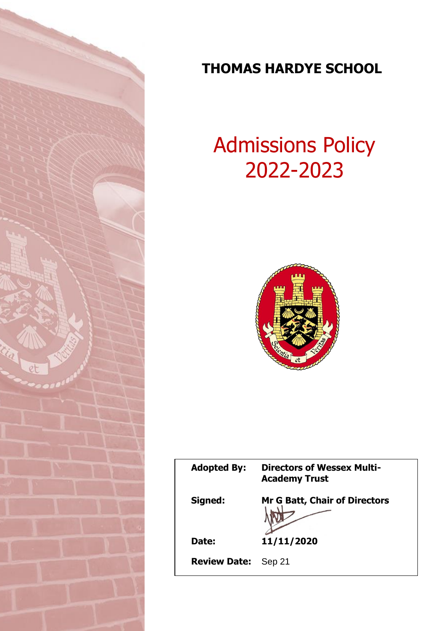

# **THOMAS HARDYE SCHOOL**

# Admissions Policy 2022-2023



| <b>Adopted By:</b>  | <b>Directors of Wessex Multi-</b><br><b>Academy Trust</b> |
|---------------------|-----------------------------------------------------------|
| Signed:             | <b>Mr G Batt, Chair of Directors</b>                      |
| Date:               | 11/11/2020                                                |
| <b>Review Date:</b> | Sep 21                                                    |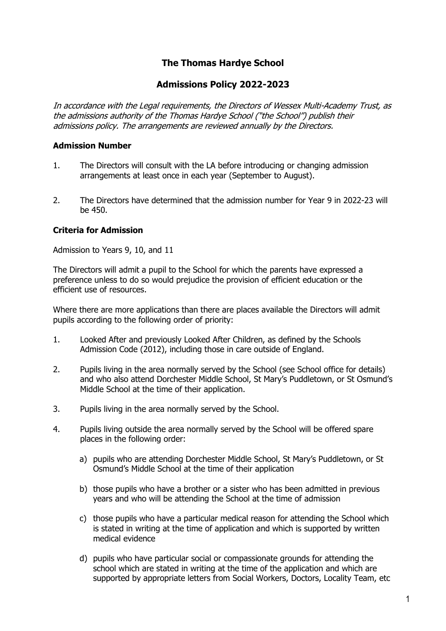## **The Thomas Hardye School**

### **Admissions Policy 2022-2023**

In accordance with the Legal requirements, the Directors of Wessex Multi-Academy Trust, as the admissions authority of the Thomas Hardye School ("the School") publish their admissions policy. The arrangements are reviewed annually by the Directors.

#### **Admission Number**

- 1. The Directors will consult with the LA before introducing or changing admission arrangements at least once in each year (September to August).
- 2. The Directors have determined that the admission number for Year 9 in 2022-23 will be 450.

#### **Criteria for Admission**

Admission to Years 9, 10, and 11

The Directors will admit a pupil to the School for which the parents have expressed a preference unless to do so would prejudice the provision of efficient education or the efficient use of resources.

Where there are more applications than there are places available the Directors will admit pupils according to the following order of priority:

- 1. Looked After and previously Looked After Children, as defined by the Schools Admission Code (2012), including those in care outside of England.
- 2. Pupils living in the area normally served by the School (see School office for details) and who also attend Dorchester Middle School, St Mary's Puddletown, or St Osmund's Middle School at the time of their application.
- 3. Pupils living in the area normally served by the School.
- 4. Pupils living outside the area normally served by the School will be offered spare places in the following order:
	- a) pupils who are attending Dorchester Middle School, St Mary's Puddletown, or St Osmund's Middle School at the time of their application
	- b) those pupils who have a brother or a sister who has been admitted in previous years and who will be attending the School at the time of admission
	- c) those pupils who have a particular medical reason for attending the School which is stated in writing at the time of application and which is supported by written medical evidence
	- d) pupils who have particular social or compassionate grounds for attending the school which are stated in writing at the time of the application and which are supported by appropriate letters from Social Workers, Doctors, Locality Team, etc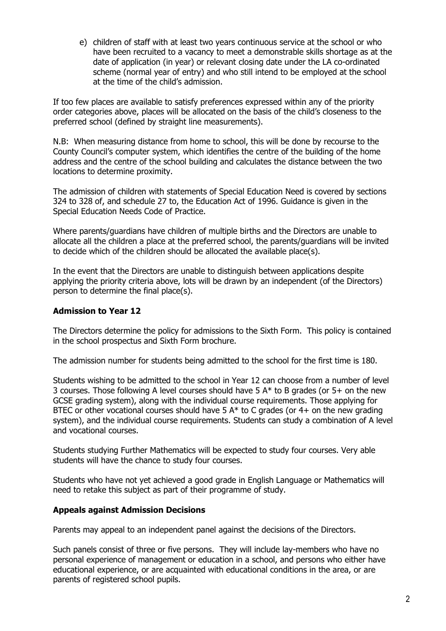e) children of staff with at least two years continuous service at the school or who have been recruited to a vacancy to meet a demonstrable skills shortage as at the date of application (in year) or relevant closing date under the LA co-ordinated scheme (normal year of entry) and who still intend to be employed at the school at the time of the child's admission.

If too few places are available to satisfy preferences expressed within any of the priority order categories above, places will be allocated on the basis of the child's closeness to the preferred school (defined by straight line measurements).

N.B: When measuring distance from home to school, this will be done by recourse to the County Council's computer system, which identifies the centre of the building of the home address and the centre of the school building and calculates the distance between the two locations to determine proximity.

The admission of children with statements of Special Education Need is covered by sections 324 to 328 of, and schedule 27 to, the Education Act of 1996. Guidance is given in the Special Education Needs Code of Practice.

Where parents/guardians have children of multiple births and the Directors are unable to allocate all the children a place at the preferred school, the parents/guardians will be invited to decide which of the children should be allocated the available place(s).

In the event that the Directors are unable to distinguish between applications despite applying the priority criteria above, lots will be drawn by an independent (of the Directors) person to determine the final place(s).

#### **Admission to Year 12**

The Directors determine the policy for admissions to the Sixth Form. This policy is contained in the school prospectus and Sixth Form brochure.

The admission number for students being admitted to the school for the first time is 180.

Students wishing to be admitted to the school in Year 12 can choose from a number of level 3 courses. Those following A level courses should have 5  $A^*$  to B grades (or 5+ on the new GCSE grading system), along with the individual course requirements. Those applying for BTEC or other vocational courses should have 5  $A^*$  to C grades (or 4+ on the new grading system), and the individual course requirements. Students can study a combination of A level and vocational courses.

Students studying Further Mathematics will be expected to study four courses. Very able students will have the chance to study four courses.

Students who have not yet achieved a good grade in English Language or Mathematics will need to retake this subject as part of their programme of study.

#### **Appeals against Admission Decisions**

Parents may appeal to an independent panel against the decisions of the Directors.

Such panels consist of three or five persons. They will include lay-members who have no personal experience of management or education in a school, and persons who either have educational experience, or are acquainted with educational conditions in the area, or are parents of registered school pupils.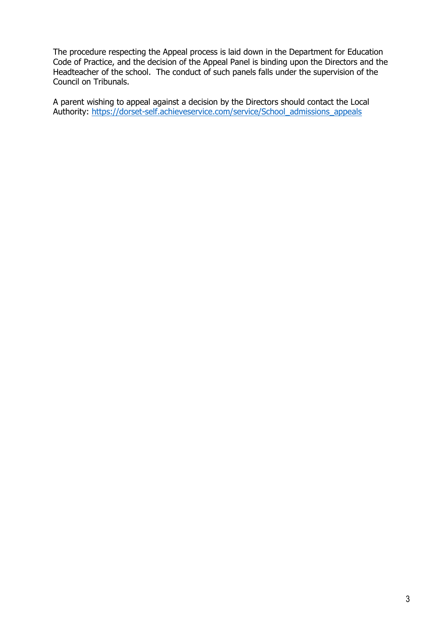The procedure respecting the Appeal process is laid down in the Department for Education Code of Practice, and the decision of the Appeal Panel is binding upon the Directors and the Headteacher of the school. The conduct of such panels falls under the supervision of the Council on Tribunals.

A parent wishing to appeal against a decision by the Directors should contact the Local Authority: [https://dorset-self.achieveservice.com/service/School\\_admissions\\_appeals](https://dorset-self.achieveservice.com/service/School_admissions_appeals)